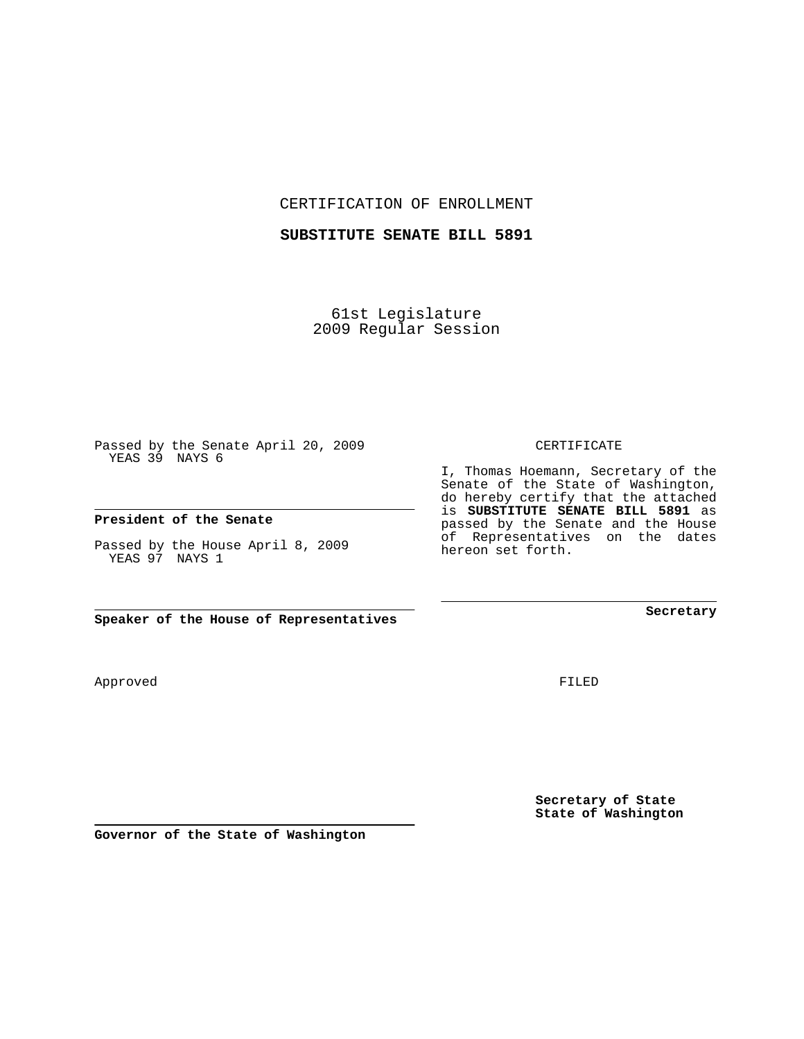CERTIFICATION OF ENROLLMENT

## **SUBSTITUTE SENATE BILL 5891**

61st Legislature 2009 Regular Session

Passed by the Senate April 20, 2009 YEAS 39 NAYS 6

## **President of the Senate**

Passed by the House April 8, 2009 YEAS 97 NAYS 1

**Speaker of the House of Representatives**

FILED

**Secretary of State State of Washington**

**Secretary**

CERTIFICATE

I, Thomas Hoemann, Secretary of the Senate of the State of Washington, do hereby certify that the attached is **SUBSTITUTE SENATE BILL 5891** as passed by the Senate and the House of Representatives on the dates hereon set forth.

Approved

**Governor of the State of Washington**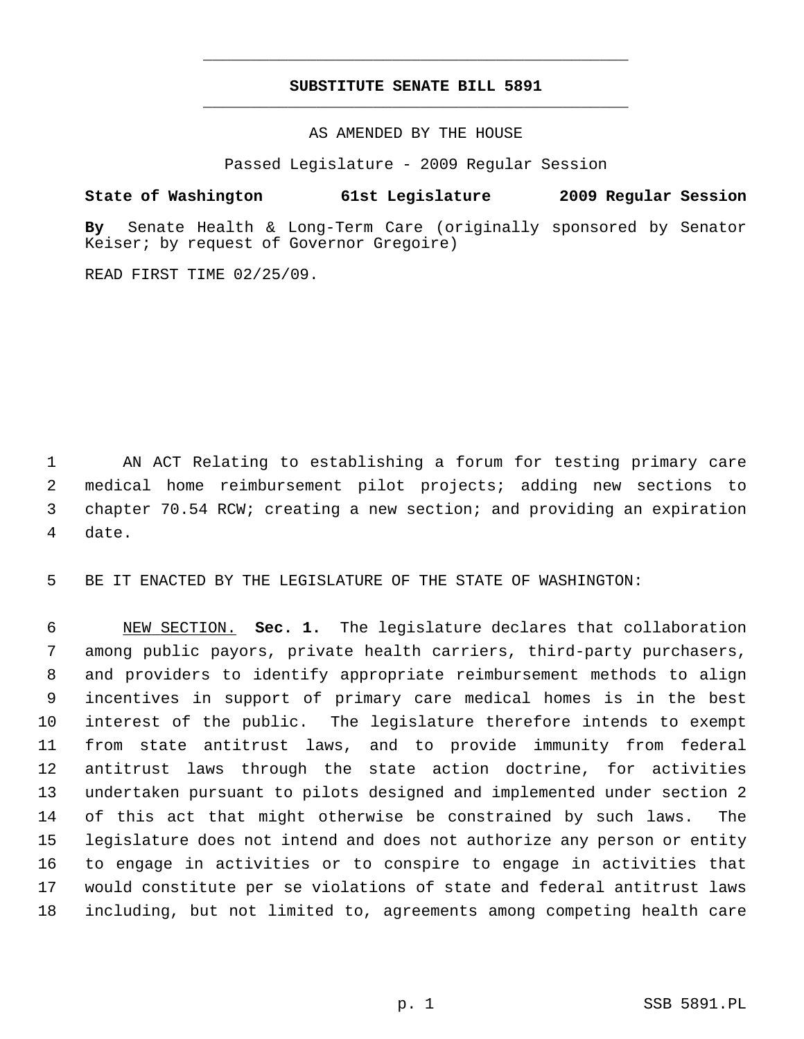## **SUBSTITUTE SENATE BILL 5891** \_\_\_\_\_\_\_\_\_\_\_\_\_\_\_\_\_\_\_\_\_\_\_\_\_\_\_\_\_\_\_\_\_\_\_\_\_\_\_\_\_\_\_\_\_

\_\_\_\_\_\_\_\_\_\_\_\_\_\_\_\_\_\_\_\_\_\_\_\_\_\_\_\_\_\_\_\_\_\_\_\_\_\_\_\_\_\_\_\_\_

AS AMENDED BY THE HOUSE

Passed Legislature - 2009 Regular Session

## **State of Washington 61st Legislature 2009 Regular Session**

**By** Senate Health & Long-Term Care (originally sponsored by Senator Keiser; by request of Governor Gregoire)

READ FIRST TIME 02/25/09.

 1 AN ACT Relating to establishing a forum for testing primary care 2 medical home reimbursement pilot projects; adding new sections to 3 chapter 70.54 RCW; creating a new section; and providing an expiration 4 date.

5 BE IT ENACTED BY THE LEGISLATURE OF THE STATE OF WASHINGTON:

 6 NEW SECTION. **Sec. 1.** The legislature declares that collaboration 7 among public payors, private health carriers, third-party purchasers, 8 and providers to identify appropriate reimbursement methods to align 9 incentives in support of primary care medical homes is in the best 10 interest of the public. The legislature therefore intends to exempt 11 from state antitrust laws, and to provide immunity from federal 12 antitrust laws through the state action doctrine, for activities 13 undertaken pursuant to pilots designed and implemented under section 2 14 of this act that might otherwise be constrained by such laws. The 15 legislature does not intend and does not authorize any person or entity 16 to engage in activities or to conspire to engage in activities that 17 would constitute per se violations of state and federal antitrust laws 18 including, but not limited to, agreements among competing health care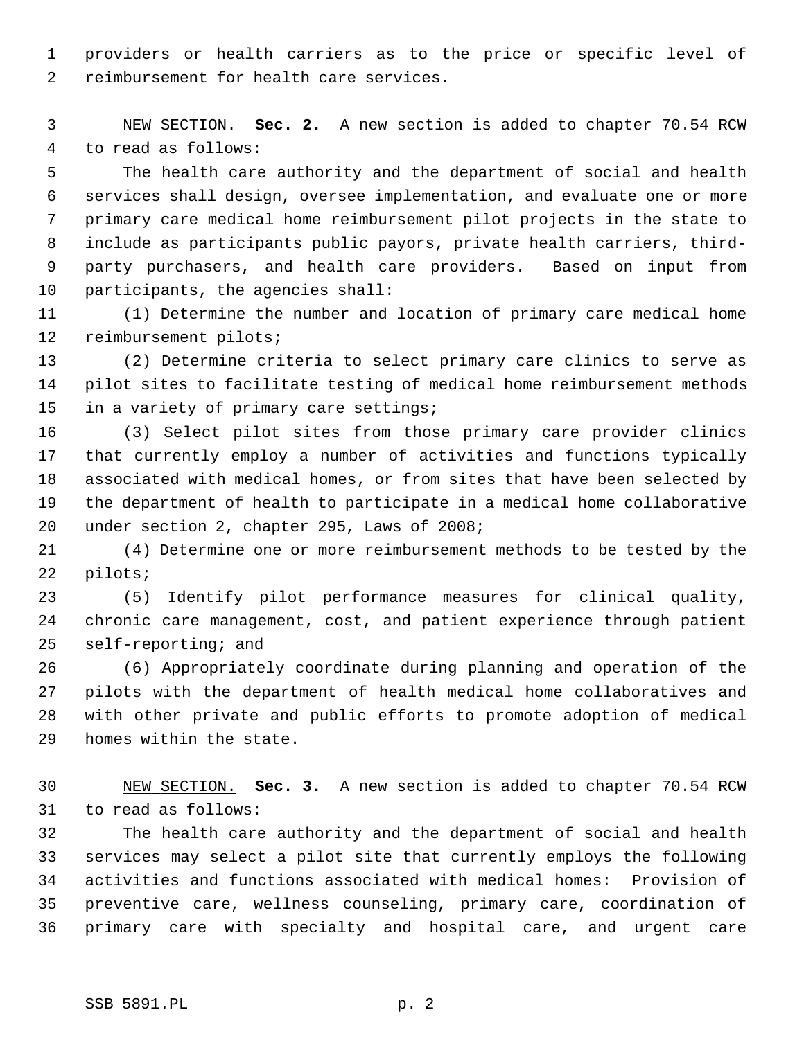1 providers or health carriers as to the price or specific level of 2 reimbursement for health care services.

 3 NEW SECTION. **Sec. 2.** A new section is added to chapter 70.54 RCW 4 to read as follows:

 5 The health care authority and the department of social and health 6 services shall design, oversee implementation, and evaluate one or more 7 primary care medical home reimbursement pilot projects in the state to 8 include as participants public payors, private health carriers, third- 9 party purchasers, and health care providers. Based on input from 10 participants, the agencies shall:

11 (1) Determine the number and location of primary care medical home 12 reimbursement pilots;

13 (2) Determine criteria to select primary care clinics to serve as 14 pilot sites to facilitate testing of medical home reimbursement methods 15 in a variety of primary care settings;

16 (3) Select pilot sites from those primary care provider clinics 17 that currently employ a number of activities and functions typically 18 associated with medical homes, or from sites that have been selected by 19 the department of health to participate in a medical home collaborative 20 under section 2, chapter 295, Laws of 2008;

21 (4) Determine one or more reimbursement methods to be tested by the 22 pilots;

23 (5) Identify pilot performance measures for clinical quality, 24 chronic care management, cost, and patient experience through patient 25 self-reporting; and

26 (6) Appropriately coordinate during planning and operation of the 27 pilots with the department of health medical home collaboratives and 28 with other private and public efforts to promote adoption of medical 29 homes within the state.

30 NEW SECTION. **Sec. 3.** A new section is added to chapter 70.54 RCW 31 to read as follows:

32 The health care authority and the department of social and health 33 services may select a pilot site that currently employs the following 34 activities and functions associated with medical homes: Provision of 35 preventive care, wellness counseling, primary care, coordination of 36 primary care with specialty and hospital care, and urgent care